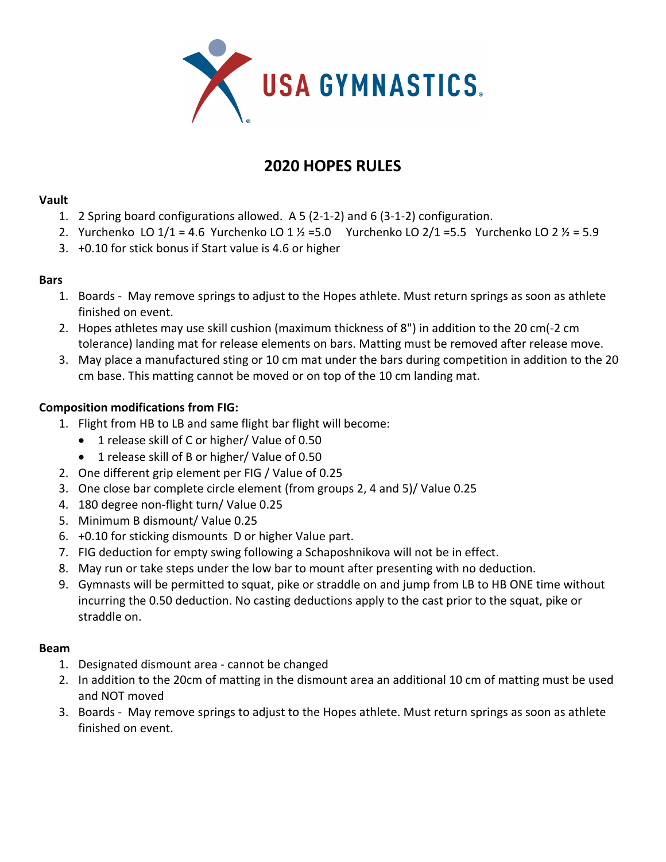

# **2020 HOPES RULES**

## **Vault**

- 1. 2 Spring board configurations allowed. A 5 (2-1-2) and 6 (3-1-2) configuration.
- 2. Yurchenko LO  $1/1 = 4.6$  Yurchenko LO  $1\frac{1}{2} = 5.0$  Yurchenko LO  $2/1 = 5.5$  Yurchenko LO  $2\frac{1}{2} = 5.9$
- 3. +0.10 for stick bonus if Start value is 4.6 or higher

## **Bars**

- 1. Boards May remove springs to adjust to the Hopes athlete. Must return springs as soon as athlete finished on event.
- 2. Hopes athletes may use skill cushion (maximum thickness of 8") in addition to the 20 cm(-2 cm tolerance) landing mat for release elements on bars. Matting must be removed after release move.
- 3. May place a manufactured sting or 10 cm mat under the bars during competition in addition to the 20 cm base. This matting cannot be moved or on top of the 10 cm landing mat.

# **Composition modifications from FIG:**

- 1. Flight from HB to LB and same flight bar flight will become:
	- 1 release skill of C or higher/ Value of 0.50
	- 1 release skill of B or higher/ Value of 0.50
- 2. One different grip element per FIG / Value of 0.25
- 3. One close bar complete circle element (from groups 2, 4 and 5)/ Value 0.25
- 4. 180 degree non-flight turn/ Value 0.25
- 5. Minimum B dismount/ Value 0.25
- 6. +0.10 for sticking dismounts D or higher Value part.
- 7. FIG deduction for empty swing following a Schaposhnikova will not be in effect.
- 8. May run or take steps under the low bar to mount after presenting with no deduction.
- 9. Gymnasts will be permitted to squat, pike or straddle on and jump from LB to HB ONE time without incurring the 0.50 deduction. No casting deductions apply to the cast prior to the squat, pike or straddle on.

## **Beam**

- 1. Designated dismount area cannot be changed
- 2. In addition to the 20cm of matting in the dismount area an additional 10 cm of matting must be used and NOT moved
- 3. Boards May remove springs to adjust to the Hopes athlete. Must return springs as soon as athlete finished on event.